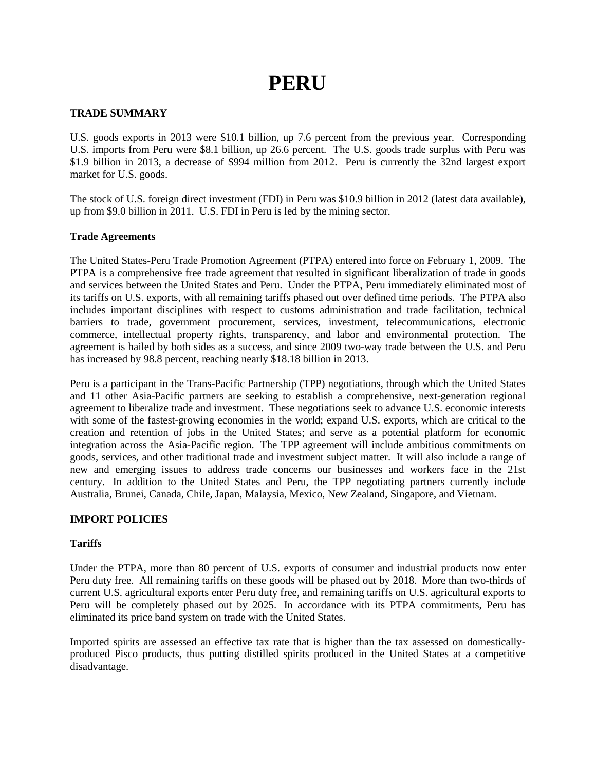# **PERU**

# **TRADE SUMMARY**

U.S. goods exports in 2013 were \$10.1 billion, up 7.6 percent from the previous year. Corresponding U.S. imports from Peru were \$8.1 billion, up 26.6 percent. The U.S. goods trade surplus with Peru was \$1.9 billion in 2013, a decrease of \$994 million from 2012. Peru is currently the 32nd largest export market for U.S. goods.

The stock of U.S. foreign direct investment (FDI) in Peru was \$10.9 billion in 2012 (latest data available), up from \$9.0 billion in 2011. U.S. FDI in Peru is led by the mining sector.

# **Trade Agreements**

The United States-Peru Trade Promotion Agreement (PTPA) entered into force on February 1, 2009. The PTPA is a comprehensive free trade agreement that resulted in significant liberalization of trade in goods and services between the United States and Peru. Under the PTPA, Peru immediately eliminated most of its tariffs on U.S. exports, with all remaining tariffs phased out over defined time periods. The PTPA also includes important disciplines with respect to customs administration and trade facilitation, technical barriers to trade, government procurement, services, investment, telecommunications, electronic commerce, intellectual property rights, transparency, and labor and environmental protection. The agreement is hailed by both sides as a success, and since 2009 two-way trade between the U.S. and Peru has increased by 98.8 percent, reaching nearly \$18.18 billion in 2013.

Peru is a participant in the Trans-Pacific Partnership (TPP) negotiations, through which the United States and 11 other Asia-Pacific partners are seeking to establish a comprehensive, next-generation regional agreement to liberalize trade and investment. These negotiations seek to advance U.S. economic interests with some of the fastest-growing economies in the world; expand U.S. exports, which are critical to the creation and retention of jobs in the United States; and serve as a potential platform for economic integration across the Asia-Pacific region. The TPP agreement will include ambitious commitments on goods, services, and other traditional trade and investment subject matter. It will also include a range of new and emerging issues to address trade concerns our businesses and workers face in the 21st century. In addition to the United States and Peru, the TPP negotiating partners currently include Australia, Brunei, Canada, Chile, Japan, Malaysia, Mexico, New Zealand, Singapore, and Vietnam.

# **IMPORT POLICIES**

# **Tariffs**

Under the PTPA, more than 80 percent of U.S. exports of consumer and industrial products now enter Peru duty free. All remaining tariffs on these goods will be phased out by 2018. More than two-thirds of current U.S. agricultural exports enter Peru duty free, and remaining tariffs on U.S. agricultural exports to Peru will be completely phased out by 2025. In accordance with its PTPA commitments, Peru has eliminated its price band system on trade with the United States.

Imported spirits are assessed an effective tax rate that is higher than the tax assessed on domesticallyproduced Pisco products, thus putting distilled spirits produced in the United States at a competitive disadvantage.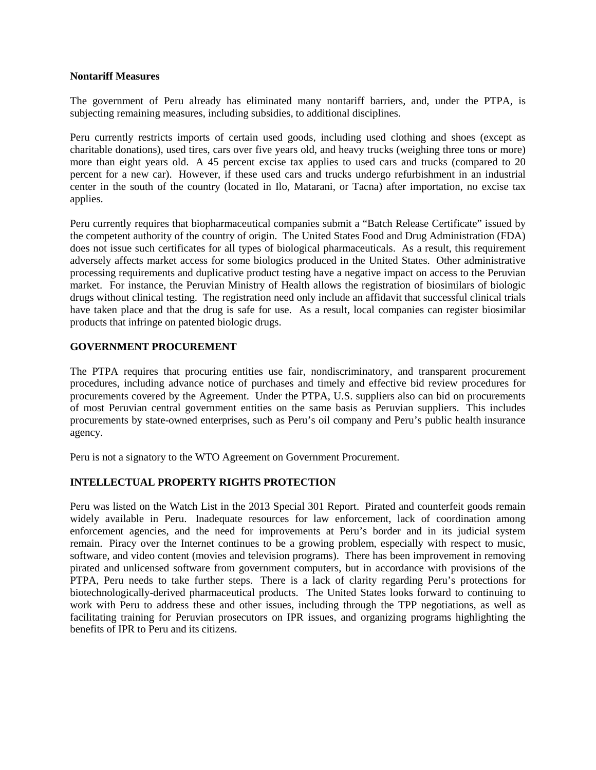#### **Nontariff Measures**

The government of Peru already has eliminated many nontariff barriers, and, under the PTPA, is subjecting remaining measures, including subsidies, to additional disciplines.

Peru currently restricts imports of certain used goods, including used clothing and shoes (except as charitable donations), used tires, cars over five years old, and heavy trucks (weighing three tons or more) more than eight years old. A 45 percent excise tax applies to used cars and trucks (compared to 20 percent for a new car). However, if these used cars and trucks undergo refurbishment in an industrial center in the south of the country (located in Ilo, Matarani, or Tacna) after importation, no excise tax applies.

Peru currently requires that biopharmaceutical companies submit a "Batch Release Certificate" issued by the competent authority of the country of origin. The United States Food and Drug Administration (FDA) does not issue such certificates for all types of biological pharmaceuticals. As a result, this requirement adversely affects market access for some biologics produced in the United States. Other administrative processing requirements and duplicative product testing have a negative impact on access to the Peruvian market. For instance, the Peruvian Ministry of Health allows the registration of biosimilars of biologic drugs without clinical testing. The registration need only include an affidavit that successful clinical trials have taken place and that the drug is safe for use. As a result, local companies can register biosimilar products that infringe on patented biologic drugs.

# **GOVERNMENT PROCUREMENT**

The PTPA requires that procuring entities use fair, nondiscriminatory, and transparent procurement procedures, including advance notice of purchases and timely and effective bid review procedures for procurements covered by the Agreement. Under the PTPA, U.S. suppliers also can bid on procurements of most Peruvian central government entities on the same basis as Peruvian suppliers. This includes procurements by state-owned enterprises, such as Peru's oil company and Peru's public health insurance agency.

Peru is not a signatory to the WTO Agreement on Government Procurement.

# **INTELLECTUAL PROPERTY RIGHTS PROTECTION**

Peru was listed on the Watch List in the 2013 Special 301 Report. Pirated and counterfeit goods remain widely available in Peru. Inadequate resources for law enforcement, lack of coordination among enforcement agencies, and the need for improvements at Peru's border and in its judicial system remain. Piracy over the Internet continues to be a growing problem, especially with respect to music, software, and video content (movies and television programs). There has been improvement in removing pirated and unlicensed software from government computers, but in accordance with provisions of the PTPA, Peru needs to take further steps. There is a lack of clarity regarding Peru's protections for biotechnologically-derived pharmaceutical products. The United States looks forward to continuing to work with Peru to address these and other issues, including through the TPP negotiations, as well as facilitating training for Peruvian prosecutors on IPR issues, and organizing programs highlighting the benefits of IPR to Peru and its citizens.